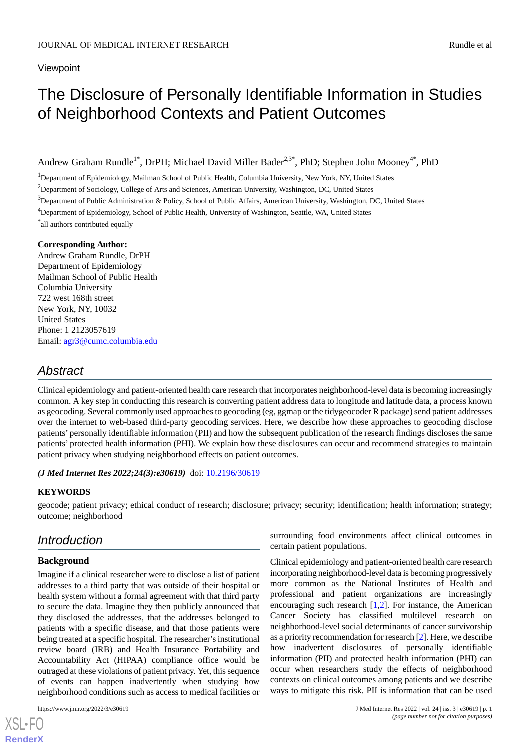## **Viewpoint**

# The Disclosure of Personally Identifiable Information in Studies of Neighborhood Contexts and Patient Outcomes

Andrew Graham Rundle<sup>1\*</sup>, DrPH; Michael David Miller Bader<sup>2,3\*</sup>, PhD; Stephen John Mooney<sup>4\*</sup>, PhD

<sup>1</sup>Department of Epidemiology, Mailman School of Public Health, Columbia University, New York, NY, United States

<sup>2</sup>Department of Sociology, College of Arts and Sciences, American University, Washington, DC, United States

 $3$ Department of Public Administration & Policy, School of Public Affairs, American University, Washington, DC, United States

\* all authors contributed equally

#### **Corresponding Author:**

Andrew Graham Rundle, DrPH Department of Epidemiology Mailman School of Public Health Columbia University 722 west 168th street New York, NY, 10032 United States Phone: 1 2123057619 Email: [agr3@cumc.columbia.edu](mailto:agr3@cumc.columbia.edu)

# *Abstract*

Clinical epidemiology and patient-oriented health care research that incorporates neighborhood-level data is becoming increasingly common. A key step in conducting this research is converting patient address data to longitude and latitude data, a process known as geocoding. Several commonly used approaches to geocoding (eg, ggmap or the tidygeocoder R package) send patient addresses over the internet to web-based third-party geocoding services. Here, we describe how these approaches to geocoding disclose patients' personally identifiable information (PII) and how the subsequent publication of the research findings discloses the same patients' protected health information (PHI). We explain how these disclosures can occur and recommend strategies to maintain patient privacy when studying neighborhood effects on patient outcomes.

*(J Med Internet Res 2022;24(3):e30619)* doi: [10.2196/30619](http://dx.doi.org/10.2196/30619)

### **KEYWORDS**

geocode; patient privacy; ethical conduct of research; disclosure; privacy; security; identification; health information; strategy; outcome; neighborhood

# *Introduction*

## **Background**

Imagine if a clinical researcher were to disclose a list of patient addresses to a third party that was outside of their hospital or health system without a formal agreement with that third party to secure the data. Imagine they then publicly announced that they disclosed the addresses, that the addresses belonged to patients with a specific disease, and that those patients were being treated at a specific hospital. The researcher's institutional review board (IRB) and Health Insurance Portability and Accountability Act (HIPAA) compliance office would be outraged at these violations of patient privacy. Yet, this sequence of events can happen inadvertently when studying how neighborhood conditions such as access to medical facilities or

[XSL](http://www.w3.org/Style/XSL)•FO **[RenderX](http://www.renderx.com/)**

surrounding food environments affect clinical outcomes in certain patient populations.

Clinical epidemiology and patient-oriented health care research incorporating neighborhood-level data is becoming progressively more common as the National Institutes of Health and professional and patient organizations are increasingly encouraging such research [\[1](#page-3-0),[2\]](#page-3-1). For instance, the American Cancer Society has classified multilevel research on neighborhood-level social determinants of cancer survivorship as a priority recommendation for research [[2\]](#page-3-1). Here, we describe how inadvertent disclosures of personally identifiable information (PII) and protected health information (PHI) can occur when researchers study the effects of neighborhood contexts on clinical outcomes among patients and we describe ways to mitigate this risk. PII is information that can be used

<sup>4</sup>Department of Epidemiology, School of Public Health, University of Washington, Seattle, WA, United States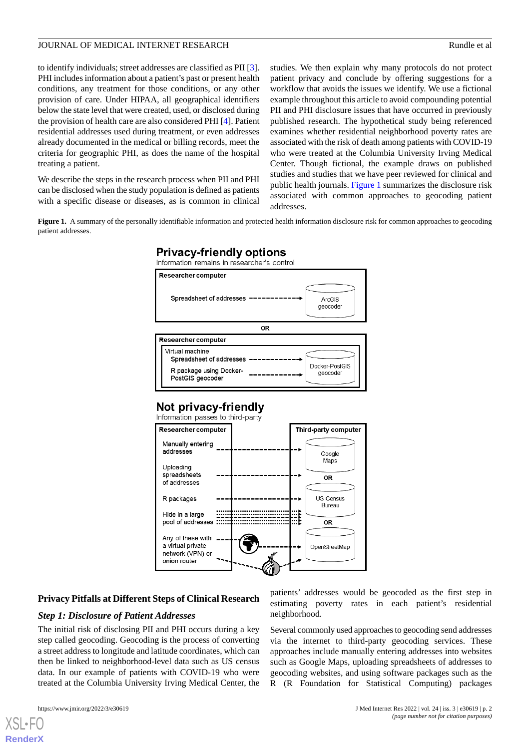## JOURNAL OF MEDICAL INTERNET RESEARCH RESEARCH RUNDER AND Rundle et al.

to identify individuals; street addresses are classified as PII [[3\]](#page-3-2). PHI includes information about a patient's past or present health conditions, any treatment for those conditions, or any other provision of care. Under HIPAA, all geographical identifiers below the state level that were created, used, or disclosed during the provision of health care are also considered PHI [\[4](#page-3-3)]. Patient residential addresses used during treatment, or even addresses already documented in the medical or billing records, meet the criteria for geographic PHI, as does the name of the hospital treating a patient.

<span id="page-1-0"></span>We describe the steps in the research process when PII and PHI can be disclosed when the study population is defined as patients with a specific disease or diseases, as is common in clinical

studies. We then explain why many protocols do not protect patient privacy and conclude by offering suggestions for a workflow that avoids the issues we identify. We use a fictional example throughout this article to avoid compounding potential PII and PHI disclosure issues that have occurred in previously published research. The hypothetical study being referenced examines whether residential neighborhood poverty rates are associated with the risk of death among patients with COVID-19 who were treated at the Columbia University Irving Medical Center. Though fictional, the example draws on published studies and studies that we have peer reviewed for clinical and public health journals. [Figure 1](#page-1-0) summarizes the disclosure risk associated with common approaches to geocoding patient addresses.

**Figure 1.** A summary of the personally identifiable information and protected health information disclosure risk for common approaches to geocoding patient addresses.



## Not privacy-friendly



## **Privacy Pitfalls at Different Steps of Clinical Research**

#### *Step 1: Disclosure of Patient Addresses*

The initial risk of disclosing PII and PHI occurs during a key step called geocoding. Geocoding is the process of converting a street address to longitude and latitude coordinates, which can then be linked to neighborhood-level data such as US census data. In our example of patients with COVID-19 who were treated at the Columbia University Irving Medical Center, the

[XSL](http://www.w3.org/Style/XSL)•FO **[RenderX](http://www.renderx.com/)**

patients' addresses would be geocoded as the first step in estimating poverty rates in each patient's residential neighborhood.

Several commonly used approaches to geocoding send addresses via the internet to third-party geocoding services. These approaches include manually entering addresses into websites such as Google Maps, uploading spreadsheets of addresses to geocoding websites, and using software packages such as the R (R Foundation for Statistical Computing) packages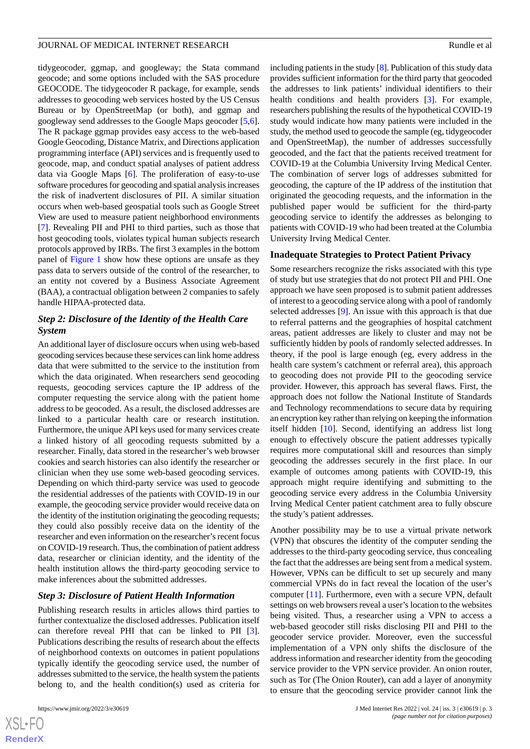tidygeocoder, ggmap, and googleway; the Stata command geocode; and some options included with the SAS procedure GEOCODE. The tidygeocoder R package, for example, sends addresses to geocoding web services hosted by the US Census Bureau or by OpenStreetMap (or both), and ggmap and googleway send addresses to the Google Maps geocoder [\[5](#page-3-4),[6\]](#page-3-5). The R package ggmap provides easy access to the web-based Google Geocoding, Distance Matrix, and Directions application programming interface (API) services and is frequently used to geocode, map, and conduct spatial analyses of patient address data via Google Maps [[6\]](#page-3-5). The proliferation of easy-to-use software procedures for geocoding and spatial analysis increases the risk of inadvertent disclosures of PII. A similar situation occurs when web-based geospatial tools such as Google Street View are used to measure patient neighborhood environments [[7\]](#page-3-6). Revealing PII and PHI to third parties, such as those that host geocoding tools, violates typical human subjects research protocols approved by IRBs. The first 3 examples in the bottom panel of [Figure 1](#page-1-0) show how these options are unsafe as they pass data to servers outside of the control of the researcher, to an entity not covered by a Business Associate Agreement (BAA), a contractual obligation between 2 companies to safely handle HIPAA-protected data.

## *Step 2: Disclosure of the Identity of the Health Care System*

An additional layer of disclosure occurs when using web-based geocoding services because these services can link home address data that were submitted to the service to the institution from which the data originated. When researchers send geocoding requests, geocoding services capture the IP address of the computer requesting the service along with the patient home address to be geocoded. As a result, the disclosed addresses are linked to a particular health care or research institution. Furthermore, the unique API keys used for many services create a linked history of all geocoding requests submitted by a researcher. Finally, data stored in the researcher's web browser cookies and search histories can also identify the researcher or clinician when they use some web-based geocoding services. Depending on which third-party service was used to geocode the residential addresses of the patients with COVID-19 in our example, the geocoding service provider would receive data on the identity of the institution originating the geocoding requests; they could also possibly receive data on the identity of the researcher and even information on the researcher's recent focus on COVID-19 research. Thus, the combination of patient address data, researcher or clinician identity, and the identity of the health institution allows the third-party geocoding service to make inferences about the submitted addresses.

## *Step 3: Disclosure of Patient Health Information*

Publishing research results in articles allows third parties to further contextualize the disclosed addresses. Publication itself can therefore reveal PHI that can be linked to PII [[3\]](#page-3-2). Publications describing the results of research about the effects of neighborhood contexts on outcomes in patient populations typically identify the geocoding service used, the number of addresses submitted to the service, the health system the patients belong to, and the health condition(s) used as criteria for

including patients in the study [\[8](#page-3-7)]. Publication of this study data provides sufficient information for the third party that geocoded the addresses to link patients' individual identifiers to their health conditions and health providers [[3\]](#page-3-2). For example, researchers publishing the results of the hypothetical COVID-19 study would indicate how many patients were included in the study, the method used to geocode the sample (eg, tidygeocoder and OpenStreetMap), the number of addresses successfully geocoded, and the fact that the patients received treatment for COVID-19 at the Columbia University Irving Medical Center. The combination of server logs of addresses submitted for geocoding, the capture of the IP address of the institution that originated the geocoding requests, and the information in the published paper would be sufficient for the third-party geocoding service to identify the addresses as belonging to patients with COVID-19 who had been treated at the Columbia University Irving Medical Center.

#### **Inadequate Strategies to Protect Patient Privacy**

Some researchers recognize the risks associated with this type of study but use strategies that do not protect PII and PHI. One approach we have seen proposed is to submit patient addresses of interest to a geocoding service along with a pool of randomly selected addresses [[9\]](#page-3-8). An issue with this approach is that due to referral patterns and the geographies of hospital catchment areas, patient addresses are likely to cluster and may not be sufficiently hidden by pools of randomly selected addresses. In theory, if the pool is large enough (eg, every address in the health care system's catchment or referral area), this approach to geocoding does not provide PII to the geocoding service provider. However, this approach has several flaws. First, the approach does not follow the National Institute of Standards and Technology recommendations to secure data by requiring an encryption key rather than relying on keeping the information itself hidden [[10\]](#page-3-9). Second, identifying an address list long enough to effectively obscure the patient addresses typically requires more computational skill and resources than simply geocoding the addresses securely in the first place. In our example of outcomes among patients with COVID-19, this approach might require identifying and submitting to the geocoding service every address in the Columbia University Irving Medical Center patient catchment area to fully obscure the study's patient addresses.

Another possibility may be to use a virtual private network (VPN) that obscures the identity of the computer sending the addresses to the third-party geocoding service, thus concealing the fact that the addresses are being sent from a medical system. However, VPNs can be difficult to set up securely and many commercial VPNs do in fact reveal the location of the user's computer [[11\]](#page-3-10). Furthermore, even with a secure VPN, default settings on web browsers reveal a user's location to the websites being visited. Thus, a researcher using a VPN to access a web-based geocoder still risks disclosing PII and PHI to the geocoder service provider. Moreover, even the successful implementation of a VPN only shifts the disclosure of the address information and researcher identity from the geocoding service provider to the VPN service provider. An onion router, such as Tor (The Onion Router), can add a layer of anonymity to ensure that the geocoding service provider cannot link the

```
XS\cdotFC
RenderX
```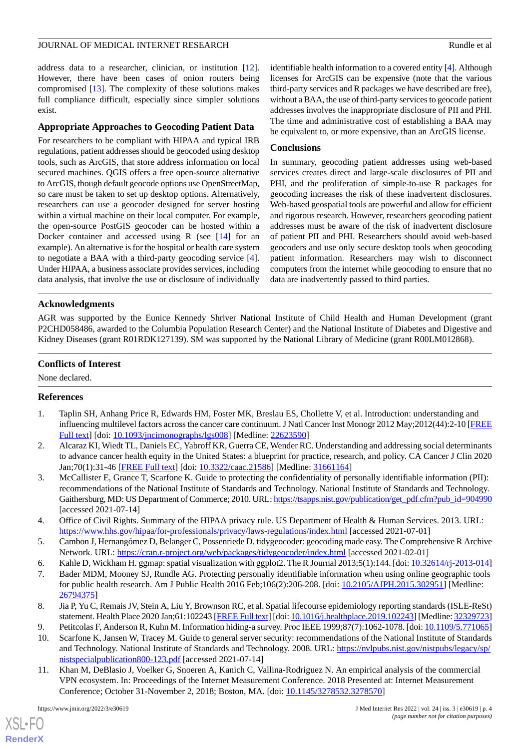#### JOURNAL OF MEDICAL INTERNET RESEARCH RESEARCH RUNDER AND Rundle et al.

address data to a researcher, clinician, or institution [[12\]](#page-4-0). However, there have been cases of onion routers being compromised [[13\]](#page-4-1). The complexity of these solutions makes full compliance difficult, especially since simpler solutions exist.

## **Appropriate Approaches to Geocoding Patient Data**

For researchers to be compliant with HIPAA and typical IRB regulations, patient addresses should be geocoded using desktop tools, such as ArcGIS, that store address information on local secured machines. QGIS offers a free open-source alternative to ArcGIS, though default geocode options use OpenStreetMap, so care must be taken to set up desktop options. Alternatively, researchers can use a geocoder designed for server hosting within a virtual machine on their local computer. For example, the open-source PostGIS geocoder can be hosted within a Docker container and accessed using R (see  $[14]$  $[14]$  for an example). An alternative is for the hospital or health care system to negotiate a BAA with a third-party geocoding service [[4\]](#page-3-3). Under HIPAA, a business associate provides services, including data analysis, that involve the use or disclosure of individually

identifiable health information to a covered entity [[4\]](#page-3-3). Although licenses for ArcGIS can be expensive (note that the various third-party services and R packages we have described are free), without a BAA, the use of third-party services to geocode patient addresses involves the inappropriate disclosure of PII and PHI. The time and administrative cost of establishing a BAA may be equivalent to, or more expensive, than an ArcGIS license.

## **Conclusions**

In summary, geocoding patient addresses using web-based services creates direct and large-scale disclosures of PII and PHI, and the proliferation of simple-to-use R packages for geocoding increases the risk of these inadvertent disclosures. Web-based geospatial tools are powerful and allow for efficient and rigorous research. However, researchers geocoding patient addresses must be aware of the risk of inadvertent disclosure of patient PII and PHI. Researchers should avoid web-based geocoders and use only secure desktop tools when geocoding patient information. Researchers may wish to disconnect computers from the internet while geocoding to ensure that no data are inadvertently passed to third parties.

## **Acknowledgments**

AGR was supported by the Eunice Kennedy Shriver National Institute of Child Health and Human Development (grant P2CHD058486, awarded to the Columbia Population Research Center) and the National Institute of Diabetes and Digestive and Kidney Diseases (grant R01RDK127139). SM was supported by the National Library of Medicine (grant R00LM012868).

## **Conflicts of Interest**

<span id="page-3-0"></span>None declared.

## <span id="page-3-1"></span>**References**

- 1. Taplin SH, Anhang Price R, Edwards HM, Foster MK, Breslau ES, Chollette V, et al. Introduction: understanding and influencing multilevel factors across the cancer care continuum. J Natl Cancer Inst Monogr 2012 May;2012(44):2-10 [[FREE](http://europepmc.org/abstract/MED/22623590) [Full text\]](http://europepmc.org/abstract/MED/22623590) [doi: [10.1093/jncimonographs/lgs008](http://dx.doi.org/10.1093/jncimonographs/lgs008)] [Medline: [22623590](http://www.ncbi.nlm.nih.gov/entrez/query.fcgi?cmd=Retrieve&db=PubMed&list_uids=22623590&dopt=Abstract)]
- <span id="page-3-2"></span>2. Alcaraz KI, Wiedt TL, Daniels EC, Yabroff KR, Guerra CE, Wender RC. Understanding and addressing social determinants to advance cancer health equity in the United States: a blueprint for practice, research, and policy. CA Cancer J Clin 2020 Jan;70(1):31-46 [\[FREE Full text\]](https://doi.org/10.3322/caac.21586) [doi: [10.3322/caac.21586](http://dx.doi.org/10.3322/caac.21586)] [Medline: [31661164](http://www.ncbi.nlm.nih.gov/entrez/query.fcgi?cmd=Retrieve&db=PubMed&list_uids=31661164&dopt=Abstract)]
- <span id="page-3-4"></span><span id="page-3-3"></span>3. McCallister E, Grance T, Scarfone K. Guide to protecting the confidentiality of personally identifiable information (PII): recommendations of the National Institute of Standards and Technology. National Institute of Standards and Technology. Gaithersburg, MD: US Department of Commerce; 2010. URL: [https://tsapps.nist.gov/publication/get\\_pdf.cfm?pub\\_id=904990](https://tsapps.nist.gov/publication/get_pdf.cfm?pub_id=904990) [accessed 2021-07-14]
- <span id="page-3-6"></span><span id="page-3-5"></span>4. Office of Civil Rights. Summary of the HIPAA privacy rule. US Department of Health & Human Services. 2013. URL: <https://www.hhs.gov/hipaa/for-professionals/privacy/laws-regulations/index.html> [accessed 2021-07-01]
- <span id="page-3-7"></span>5. Cambon J, Hernangómez D, Belanger C, Possenriede D. tidygeocoder: geocoding made easy. The Comprehensive R Archive Network. URL: <https://cran.r-project.org/web/packages/tidygeocoder/index.html> [accessed 2021-02-01]
- <span id="page-3-8"></span>6. Kahle D, Wickham H. ggmap: spatial visualization with ggplot2. The R Journal 2013;5(1):144. [doi: [10.32614/rj-2013-014\]](http://dx.doi.org/10.32614/rj-2013-014)
- <span id="page-3-9"></span>7. Bader MDM, Mooney SJ, Rundle AG. Protecting personally identifiable information when using online geographic tools for public health research. Am J Public Health 2016 Feb;106(2):206-208. [doi: [10.2105/AJPH.2015.302951](http://dx.doi.org/10.2105/AJPH.2015.302951)] [Medline: [26794375](http://www.ncbi.nlm.nih.gov/entrez/query.fcgi?cmd=Retrieve&db=PubMed&list_uids=26794375&dopt=Abstract)]
- <span id="page-3-10"></span>8. Jia P, Yu C, Remais JV, Stein A, Liu Y, Brownson RC, et al. Spatial lifecourse epidemiology reporting standards (ISLE-ReSt) statement. Health Place 2020 Jan;61:102243 [[FREE Full text\]](https://linkinghub.elsevier.com/retrieve/pii/S1353-8292(19)30635-5) [doi: [10.1016/j.healthplace.2019.102243\]](http://dx.doi.org/10.1016/j.healthplace.2019.102243) [Medline: [32329723\]](http://www.ncbi.nlm.nih.gov/entrez/query.fcgi?cmd=Retrieve&db=PubMed&list_uids=32329723&dopt=Abstract)
- 9. Petitcolas F, Anderson R, Kuhn M. Information hiding-a survey. Proc IEEE 1999;87(7):1062-1078. [doi: [10.1109/5.771065\]](http://dx.doi.org/10.1109/5.771065)
- 10. Scarfone K, Jansen W, Tracey M. Guide to general server security: recommendations of the National Institute of Standards and Technology. National Institute of Standards and Technology. 2008. URL: [https://nvlpubs.nist.gov/nistpubs/legacy/sp/](https://nvlpubs.nist.gov/nistpubs/legacy/sp/nistspecialpublication800-123.pdf) [nistspecialpublication800-123.pdf](https://nvlpubs.nist.gov/nistpubs/legacy/sp/nistspecialpublication800-123.pdf) [accessed 2021-07-14]
- 11. Khan M, DeBlasio J, Voelker G, Snoeren A, Kanich C, Vallina-Rodriguez N. An empirical analysis of the commercial VPN ecosystem. In: Proceedings of the Internet Measurement Conference. 2018 Presented at: Internet Measurement Conference; October 31-November 2, 2018; Boston, MA. [doi: [10.1145/3278532.3278570](http://dx.doi.org/10.1145/3278532.3278570)]

[XSL](http://www.w3.org/Style/XSL)•FO **[RenderX](http://www.renderx.com/)**